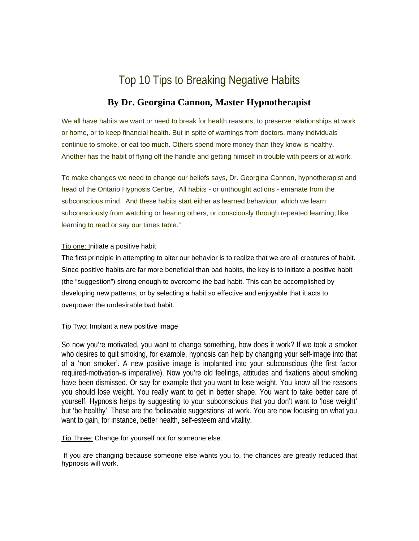# Top 10 Tips to Breaking Negative Habits

# **By Dr. Georgina Cannon, Master Hypnotherapist**

We all have habits we want or need to break for health reasons, to preserve relationships at work or home, or to keep financial health. But in spite of warnings from doctors, many individuals continue to smoke, or eat too much. Others spend more money than they know is healthy. Another has the habit of flying off the handle and getting himself in trouble with peers or at work.

To make changes we need to change our beliefs says, Dr. Georgina Cannon, hypnotherapist and head of the Ontario Hypnosis Centre, "All habits - or unthought actions - emanate from the subconscious mind. And these habits start either as learned behaviour, which we learn subconsciously from watching or hearing others, or consciously through repeated learning; like learning to read or say our times table."

## Tip one: Initiate a positive habit

The first principle in attempting to alter our behavior is to realize that we are all creatures of habit. Since positive habits are far more beneficial than bad habits, the key is to initiate a positive habit (the "suggestion") strong enough to overcome the bad habit. This can be accomplished by developing new patterns, or by selecting a habit so effective and enjoyable that it acts to overpower the undesirable bad habit.

## Tip Two: Implant a new positive image

So now you're motivated, you want to change something, how does it work? If we took a smoker who desires to quit smoking, for example, hypnosis can help by changing your self-image into that of a 'non smoker'. A new positive image is implanted into your subconscious (the first factor required-motivation-is imperative). Now you're old feelings, attitudes and fixations about smoking have been dismissed. Or say for example that you want to lose weight. You know all the reasons you should lose weight. You really want to get in better shape. You want to take better care of yourself. Hypnosis helps by suggesting to your subconscious that you don't want to 'lose weight' but 'be healthy'. These are the 'believable suggestions' at work. You are now focusing on what you want to gain, for instance, better health, self-esteem and vitality.

Tip Three: Change for yourself not for someone else.

 If you are changing because someone else wants you to, the chances are greatly reduced that hypnosis will work.